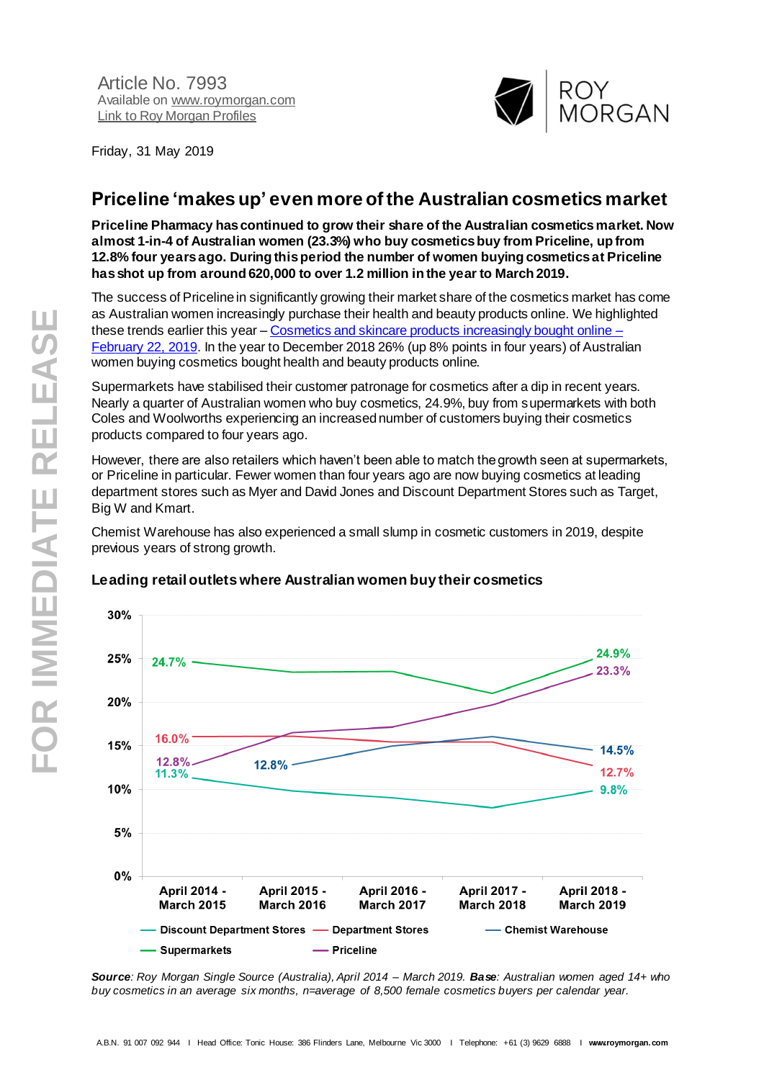

Friday, 31 May 2019

# **Priceline 'makes up' even more of the Australian cosmetics market**

**Priceline Pharmacy has continued to grow their share of the Australian cosmetics market. Now almost 1-in-4 of Australian women (23.3%) who buy cosmetics buy from Priceline, up from 12.8% four years ago. During this period the number of women buying cosmetics at Priceline has shot up from around 620,000 to over 1.2 million in the year to March 2019.**

The success of Priceline in significantly growing their market share of the cosmetics market has come as Australian women increasingly purchase their health and beauty products online. We highlighted these trends earlier this year – [Cosmetics and skincare products increasingly bought online –](http://www.roymorgan.com/findings/7869-top-cosmetics-december-2018-201902220527) [February 22, 2019.](http://www.roymorgan.com/findings/7869-top-cosmetics-december-2018-201902220527) In the year to December 2018 26% (up 8% points in four years) of Australian women buying cosmetics bought health and beauty products online.

Supermarkets have stabilised their customer patronage for cosmetics after a dip in recent years. Nearly a quarter of Australian women who buy cosmetics, 24.9%, buy from supermarkets with both Coles and Woolworths experiencing an increased number of customers buying their cosmetics products compared to four years ago.

However, there are also retailers which haven't been able to match the growth seen at supermarkets, or Priceline in particular. Fewer women than four years ago are now buying cosmetics at leading department stores such as Myer and David Jones and Discount Department Stores such as Target, Big W and Kmart.

Chemist Warehouse has also experienced a small slump in cosmetic customers in 2019, despite previous years of strong growth.



#### **Leading retail outlets where Australian women buy their cosmetics**

*Source: Roy Morgan Single Source (Australia), April 2014 – March 2019. Base: Australian women aged 14+ who buy cosmetics in an average six months, n=average of 8,500 female cosmetics buyers per calendar year.*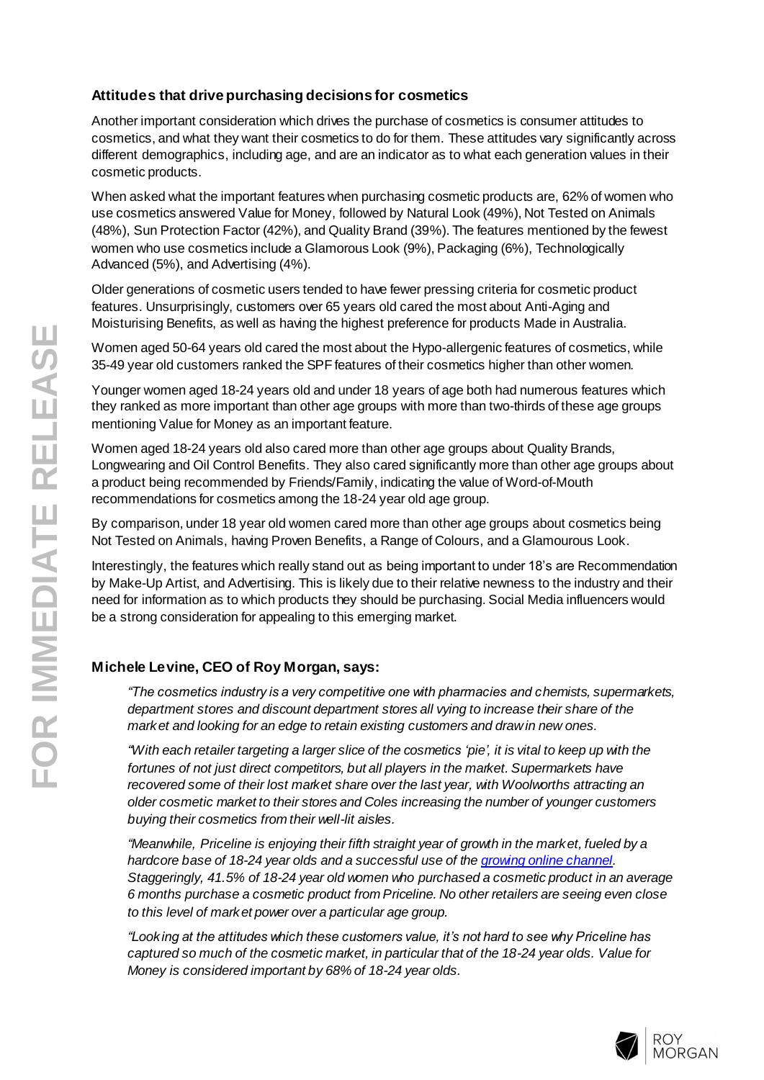### **Attitudes that drive purchasing decisions for cosmetics**

Another important consideration which drives the purchase of cosmetics is consumer attitudes to cosmetics, and what they want their cosmetics to do for them. These attitudes vary significantly across different demographics, including age, and are an indicator as to what each generation values in their cosmetic products.

When asked what the important features when purchasing cosmetic products are, 62% of women who use cosmetics answered Value for Money, followed by Natural Look (49%), Not Tested on Animals (48%), Sun Protection Factor (42%), and Quality Brand (39%). The features mentioned by the fewest women who use cosmetics include a Glamorous Look (9%), Packaging (6%), Technologically Advanced (5%), and Advertising (4%).

Older generations of cosmetic users tended to have fewer pressing criteria for cosmetic product features. Unsurprisingly, customers over 65 years old cared the most about Anti -Aging and Moisturising Benefits, as well as having the highest preference for products Made in Australia.

Women aged 50 -64 years old cared the most about the Hypo -allergenic features of cosmetics, while 35 -49 year old customers ranked the SPF features of their cosmetics higher than other women.

Younger women aged 18 -24 years old and under 18 years of age both had numerous features which they ranked as more important than other age groups with more than two -thirds of these age groups mentioning Value for Money as an important feature.

Women aged 18 -24 years old also cared more than other age groups about Quality Brands, Longwearing and Oil Control Benefits. They also cared significantly more than other age groups about a product being recommended by Friends/Family, indicating the value of Word -of -Mouth recommendations for cosmetics among the 18 -24 year old age group.

By comparison, under 18 year old women cared more than other age groups about cosmetics being Not Tested on Animals, having Proven Benefits, a Range of Colours, and a Glamourous Look .

Interestingly, the features which really stand out as being important to under 18's are Recommendation by Make -Up Artist, and Advertising. This is likely due to their relative newness to the industry and their need for information as to which products they should be purchasing. Social Media influencers would be a strong consideration for appealing to this emerging market.

## **Michele Levine, CEO of Roy Morgan, says:**

*"The cosmetics industry is a very competitive one with pharmacies and chemists, supermarkets, department stores and discount department stores all vying to increase their share of the market and looking for an edge to retain existing customers and draw in new ones.*

*"With each retailer targeting a larger slice of the cosmetics 'pie', it is vital to keep up with the*  fortunes of not just direct competitors, but all players in the market. Supermarkets have *recovered some of their lost market share over the last year, with Woolworths attracting an older cosmetic market to their stores and Coles increasing the number of younger customers buying their cosmetics from their well -lit aisles.*

*"Meanwhile, Priceline is enjoying their fifth straight year of growth in the market, fueled by a hardcore base of 18 -24 year olds and a successful use of th[e growing online channel](http://www.roymorgan.com/findings/7869-top-cosmetics-december-2018-201902220527). Staggeringly, 41.5% of 18 -24 year old women who purchased a cosmetic product in an average 6 months purchase a cosmetic product from Priceline. No other retailers are seeing even close to this level of market power over a particular age group.*

*"Looking at the attitudes which these customers value, it's not hard to see why Priceline has captured so much of the cosmetic market, in particular that of the 18 -24 year olds. Value for Money is considered important by 68% of 18 -24 year olds.*